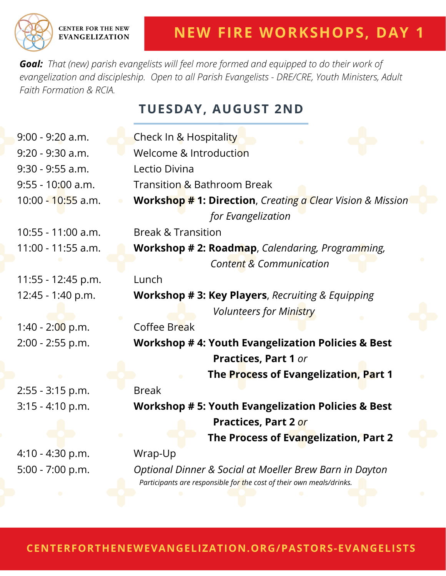*Goal: That (new) parish evangelists will feel more formed and equipped to do their work of evangelization and discipleship. Open to all Parish Evangelists - DRE/CRE, Youth Ministers, Adult Faith Formation & RCIA.*

**TUESDAY, AUGUST 2ND**

| $9:00 - 9:20$ a.m.  | Check In & Hospitality                                                                                                          |
|---------------------|---------------------------------------------------------------------------------------------------------------------------------|
| 9:20 - 9:30 a.m.    | Welcome & Introduction                                                                                                          |
| $9:30 - 9:55$ a.m.  | Lectio Divina                                                                                                                   |
| $9:55 - 10:00$ a.m. | <b>Transition &amp; Bathroom Break</b>                                                                                          |
| 10:00 - 10:55 a.m.  | <b>Workshop # 1: Direction</b> , Creating a Clear Vision & Mission                                                              |
|                     | for Evangelization                                                                                                              |
| 10:55 - 11:00 a.m.  | <b>Break &amp; Transition</b>                                                                                                   |
| 11:00 - 11:55 a.m.  | <b>Workshop # 2: Roadmap</b> , Calendaring, Programming,                                                                        |
|                     | Content & Communication                                                                                                         |
| 11:55 - 12:45 p.m.  | Lunch                                                                                                                           |
| 12:45 - 1:40 p.m.   | Workshop # 3: Key Players, Recruiting & Equipping                                                                               |
|                     | <b>Volunteers for Ministry</b>                                                                                                  |
| $1:40 - 2:00$ p.m.  | Coffee Break                                                                                                                    |
| 2:00 - 2:55 p.m.    | <b>Workshop #4: Youth Evangelization Policies &amp; Best</b>                                                                    |
|                     | <b>Practices, Part 1 or</b>                                                                                                     |
|                     | The Process of Evangelization, Part 1                                                                                           |
| 2:55 - 3:15 p.m.    | <b>Break</b>                                                                                                                    |
| $3:15 - 4:10$ p.m.  | <b>Workshop # 5: Youth Evangelization Policies &amp; Best</b>                                                                   |
|                     | <b>Practices, Part 2 or</b>                                                                                                     |
|                     | The Process of Evangelization, Part 2                                                                                           |
| 4:10 - 4:30 p.m.    | Wrap-Up                                                                                                                         |
| 5:00 - 7:00 p.m.    | Optional Dinner & Social at Moeller Brew Barn in Dayton<br>Participants are responsible for the cost of their own meals/drinks. |
|                     |                                                                                                                                 |

**CENTERFORTHENEWEVANGELIZATION.ORG/PASTORS-EVANGELISTS**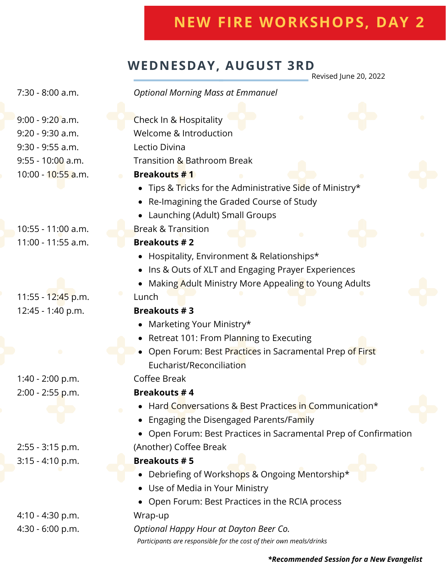# **NEW FIRE WORKSHOPS, DAY 2**

## **WEDNESDAY, AUGUST 3RD**

Revised June 20, 2022

7:30 - 8:00 a.m.

#### *Optional Morning Mass at Emmanuel*

9:00 - 9:20 a.m. 9:20 - 9:30 a.m. 9:30 - 9:55 a.m. 9:55 - 10:00 a.m. 10:00 - 10:55 a.m.

10:55 - 11:00 a.m. 11:00 - 11:55 a.m.

11:55 - 12:45 p.m. 12:45 - 1:40 p.m.

1:40 - 2:00 p.m. 2:00 - 2:55 p.m.

2:55 - 3:15 p.m. 3:15 - 4:10 p.m.

4:10 - 4:30 p.m. 4:30 - 6:00 p.m.

| Check In & Hospitality                                         |
|----------------------------------------------------------------|
| Welcome & Introduction                                         |
| Lectio Divina                                                  |
| Transition & Bathroom Break                                    |
| <b>Breakouts #1</b>                                            |
| Tips & Tricks for the Administrative Side of Ministry*         |
| Re-Imagining the Graded Course of Study<br>$\bullet$           |
| Launching (Adult) Small Groups                                 |
| <b>Break &amp; Transition</b>                                  |
| <b>Breakouts #2</b>                                            |
| Hospitality, Environment & Relationships*                      |
| Ins & Outs of XLT and Engaging Prayer Experiences              |
| Making Adult Ministry More Appealing to Young Adults           |
| Lunch                                                          |
| <b>Breakouts #3</b>                                            |
| Marketing Your Ministry*                                       |
| Retreat 101: From Planning to Executing                        |
| Open Forum: Best Practices in Sacramental Prep of First        |
| Eucharist/Reconciliation                                       |
| Coffee Break                                                   |
| <b>Breakouts #4</b>                                            |
| Hard Conversations & Best Practices in Communication*          |
| Engaging the Disengaged Parents/Family<br>$\bullet$            |
| Open Forum: Best Practices in Sacramental Prep of Confirmation |
| (Another) Coffee Break                                         |
| <b>Breakouts #5</b>                                            |
| Debriefing of Workshops & Ongoing Mentorship*                  |
| Use of Media in Your Ministry                                  |
| Open Forum: Best Practices in the RCIA process                 |
| Wrap-up                                                        |

*Optional Happy Hour at Dayton Beer Co. Participants are responsible for the cost of their own meals/drinks*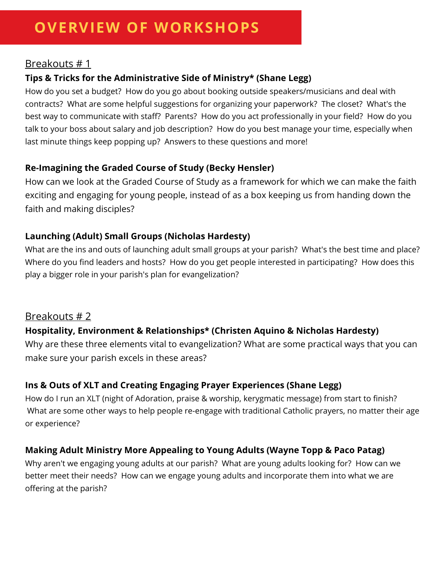#### Breakouts # 1

#### **Tips & Tricks for the Administrative Side of Ministry\* (Shane Legg)**

How do you set a budget? How do you go about booking outside speakers/musicians and deal with contracts? What are some helpful suggestions for organizing your paperwork? The closet? What's the best way to communicate with staff? Parents? How do you act professionally in your field? How do you talk to your boss about salary and job description? How do you best manage your time, especially when last minute things keep popping up? Answers to these questions and more!

#### **Re-Imagining the Graded Course of Study (Becky Hensler)**

How can we look at the Graded Course of Study as a framework for which we can make the faith exciting and engaging for young people, instead of as a box keeping us from handing down the faith and making disciples?

#### **Launching (Adult) Small Groups (Nicholas Hardesty)**

What are the ins and outs of launching adult small groups at your parish? What's the best time and place? Where do you find leaders and hosts? How do you get people interested in participating? How does this play a bigger role in your parish's plan for evangelization?

#### Breakouts # 2

#### **Hospitality, Environment & Relationships\* (Christen Aquino & Nicholas Hardesty)**

Why are these three elements vital to evangelization? What are some practical ways that you can make sure your parish excels in these areas?

#### **Ins & Outs of XLT and Creating Engaging Prayer Experiences (Shane Legg)**

How do I run an XLT (night of Adoration, praise & worship, kerygmatic message) from start to finish? What are some other ways to help people re-engage with traditional Catholic prayers, no matter their age or experience?

#### **Making Adult Ministry More Appealing to Young Adults (Wayne Topp & Paco Patag)**

Why aren't we engaging young adults at our parish? What are young adults looking for? How can we better meet their needs? How can we engage young adults and incorporate them into what we are offering at the parish?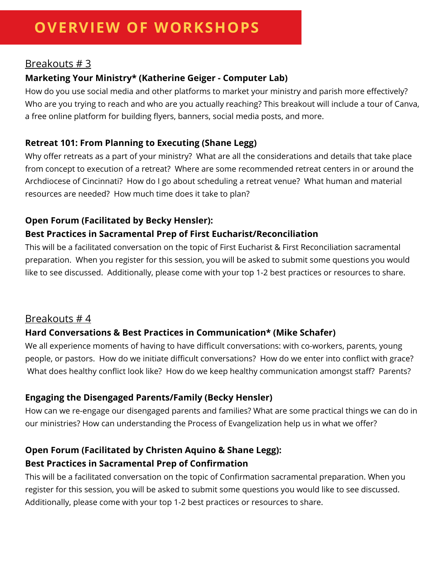#### Breakouts # 3

#### **Marketing Your Ministry\* (Katherine Geiger - Computer Lab)**

How do you use social media and other platforms to market your ministry and parish more effectively? Who are you trying to reach and who are you actually reaching? This breakout will include a tour of Canva, a free online platform for building flyers, banners, social media posts, and more.

#### **Retreat 101: From Planning to Executing (Shane Legg)**

Why offer retreats as a part of your ministry? What are all the considerations and details that take place from concept to execution of a retreat? Where are some recommended retreat centers in or around the Archdiocese of Cincinnati? How do I go about scheduling a retreat venue? What human and material resources are needed? How much time does it take to plan?

#### **Open Forum (Facilitated by Becky Hensler):**

#### **Best Practices in Sacramental Prep of First Eucharist/Reconciliation**

This will be a facilitated conversation on the topic of First Eucharist & First Reconciliation sacramental preparation. When you register for this session, you will be asked to submit some questions you would like to see discussed. Additionally, please come with your top 1-2 best practices or resources to share.

#### Breakouts # 4

#### **Hard Conversations & Best Practices in Communication\* (Mike Schafer)**

We all experience moments of having to have difficult conversations: with co-workers, parents, young people, or pastors. How do we initiate difficult conversations? How do we enter into conflict with grace? What does healthy conflict look like? How do we keep healthy communication amongst staff? Parents?

#### **Engaging the Disengaged Parents/Family (Becky Hensler)**

How can we re-engage our disengaged parents and families? What are some practical things we can do in our ministries? How can understanding the Process of Evangelization help us in what we offer?

#### **Open Forum (Facilitated by Christen Aquino & Shane Legg): Best Practices in Sacramental Prep of Confirmation**

This will be a facilitated conversation on the topic of Confirmation sacramental preparation. When you register for this session, you will be asked to submit some questions you would like to see discussed. Additionally, please come with your top 1-2 best practices or resources to share.